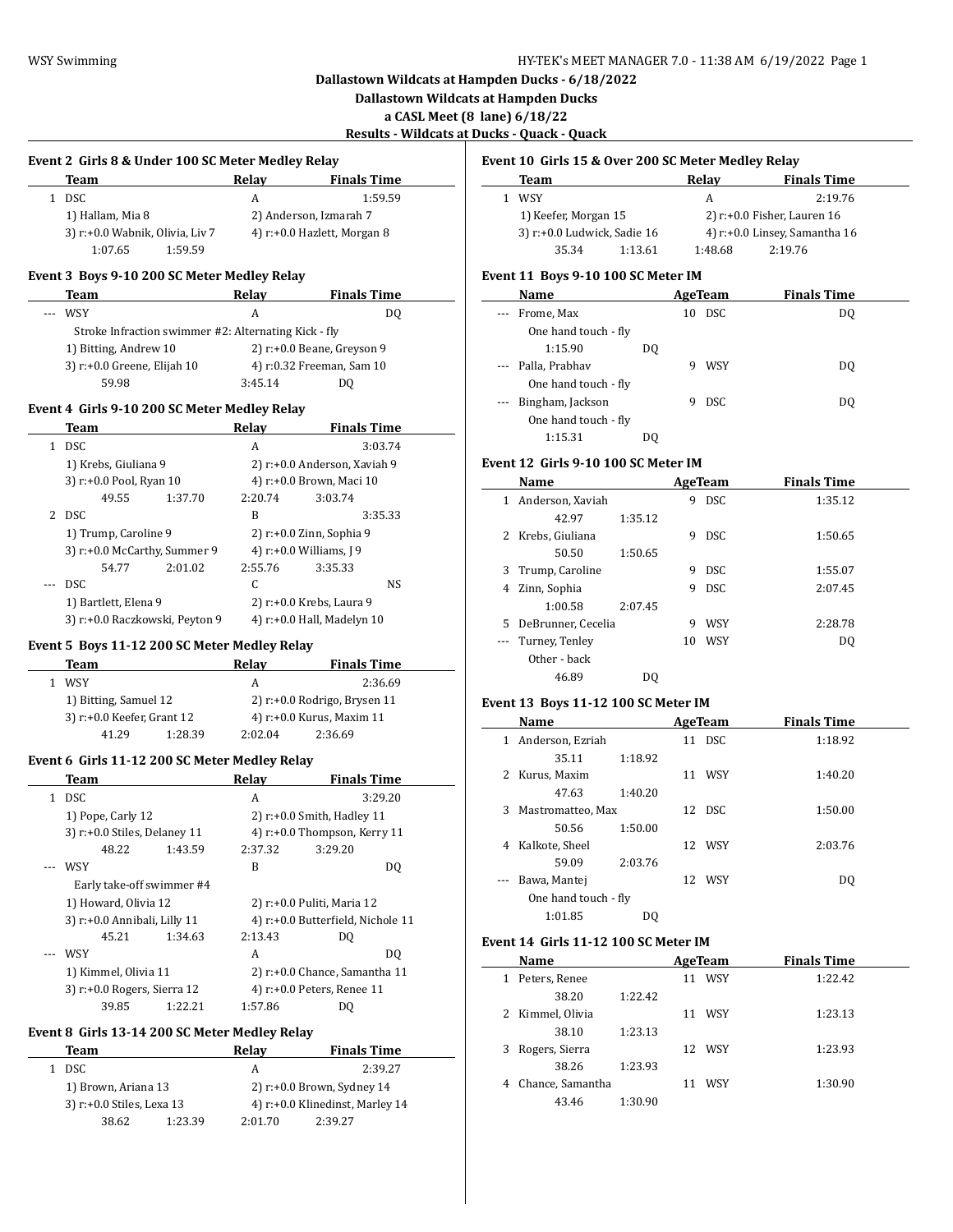$\overline{\phantom{a}}$ 

 $\overline{a}$ 

**Dallastown Wildcats at Hampden Ducks - 6/18/2022**

**Dallastown Wildcats at Hampden Ducks**

**a CASL Meet (8 lane) 6/18/22**

**Results - Wildcats at Ducks - Quack - Quack**

 $\overline{\phantom{a}}$ 

|  |  | Event 2 Girls 8 & Under 100 SC Meter Medley Relay |  |
|--|--|---------------------------------------------------|--|
|  |  |                                                   |  |

| Team                            | Relav | <b>Finals Time</b>          |  |  |
|---------------------------------|-------|-----------------------------|--|--|
| 1 DSC                           | А     | 1:59.59                     |  |  |
| 1) Hallam, Mia 8                |       | 2) Anderson, Izmarah 7      |  |  |
| 3) r:+0.0 Wabnik, Olivia, Liv 7 |       | 4) r:+0.0 Hazlett, Morgan 8 |  |  |
| 1:59.59<br>1:07.65              |       |                             |  |  |

#### **Event 3 Boys 9-10 200 SC Meter Medley Relay**

| Team                                                                                                  | Relay   | <b>Finals Time</b>            |  |
|-------------------------------------------------------------------------------------------------------|---------|-------------------------------|--|
| WSY<br>$\frac{1}{2} \left( \frac{1}{2} \right) \left( \frac{1}{2} \right) \left( \frac{1}{2} \right)$ | А       | DO                            |  |
| Stroke Infraction swimmer #2: Alternating Kick - fly                                                  |         |                               |  |
| 1) Bitting, Andrew 10                                                                                 |         | 2) $r: +0.0$ Beane, Greyson 9 |  |
| 3) r:+0.0 Greene, Elijah 10                                                                           |         | 4) r:0.32 Freeman, Sam 10     |  |
| 59.98                                                                                                 | 3:45.14 | DΟ                            |  |
|                                                                                                       |         |                               |  |

#### **Event 4 Girls 9-10 200 SC Meter Medley Relay**

|   | Team                           |         | Relay                    | <b>Finals Time</b>           |  |
|---|--------------------------------|---------|--------------------------|------------------------------|--|
| 1 | <b>DSC</b>                     |         | A                        | 3:03.74                      |  |
|   | 1) Krebs, Giuliana 9           |         |                          | 2) r:+0.0 Anderson, Xaviah 9 |  |
|   | 3) r:+0.0 Pool, Ryan 10        |         |                          | 4) r:+0.0 Brown, Maci 10     |  |
|   | 49.55                          | 1:37.70 | 2:20.74                  | 3:03.74                      |  |
|   | 2 DSC                          |         | B                        | 3:35.33                      |  |
|   | 1) Trump, Caroline 9           |         | 2) r:+0.0 Zinn, Sophia 9 |                              |  |
|   | 3) r:+0.0 McCarthy, Summer 9   |         |                          | 4) r:+0.0 Williams, J 9      |  |
|   | 54.77                          | 2:01.02 | 2:55.76                  | 3:35.33                      |  |
|   | DSC                            |         | C                        | NS                           |  |
|   | 1) Bartlett, Elena 9           |         |                          | 2) r:+0.0 Krebs, Laura 9     |  |
|   | 3) r:+0.0 Raczkowski, Peyton 9 |         |                          | 4) r:+0.0 Hall, Madelyn 10   |  |

#### **Event 5 Boys 11-12 200 SC Meter Medley Relay**

| Team  |                            | Relav   | <b>Finals Time</b>                |  |  |
|-------|----------------------------|---------|-----------------------------------|--|--|
| WSY   |                            | A       | 2:36.69                           |  |  |
|       | 1) Bitting, Samuel 12      |         | $2)$ r: $+0.0$ Rodrigo, Brysen 11 |  |  |
|       | 3) r:+0.0 Keefer, Grant 12 |         | 4) r:+0.0 Kurus, Maxim 11         |  |  |
| 41.29 | 1:28.39                    | 2:02.04 | 2:36.69                           |  |  |

## **Event 6 Girls 11-12 200 SC Meter Medley Relay**

|    | Team                               |         | Relay                             | <b>Finals Time</b>              |  |
|----|------------------------------------|---------|-----------------------------------|---------------------------------|--|
| 1. | DSC.                               |         | A                                 | 3:29.20                         |  |
|    | 1) Pope, Carly 12                  |         |                                   | $2)$ r:+0.0 Smith, Hadley 11    |  |
|    | $3$ ) r: $+0.0$ Stiles, Delaney 11 |         |                                   | 4) $r: +0.0$ Thompson, Kerry 11 |  |
|    | 48.22                              | 1:43.59 | 2:37.32                           | 3:29.20                         |  |
|    | WSY                                |         | R                                 | DO.                             |  |
|    | Early take-off swimmer #4          |         |                                   |                                 |  |
|    | 1) Howard, Olivia 12               |         |                                   | 2) r:+0.0 Puliti, Maria 12      |  |
|    | 3) r:+0.0 Annibali, Lilly 11       |         | 4) r:+0.0 Butterfield, Nichole 11 |                                 |  |
|    | 45.21                              | 1:34.63 | 2:13.43                           | DO                              |  |
|    | WSY                                |         | A                                 | DO.                             |  |
|    | 1) Kimmel, Olivia 11               |         |                                   | 2) r:+0.0 Chance, Samantha 11   |  |
|    | 3) r:+0.0 Rogers, Sierra 12        |         |                                   | 4) r:+0.0 Peters, Renee 11      |  |
|    | 39.85                              | 1:22.21 | 1:57.86                           | DO                              |  |

#### **Event 8 Girls 13-14 200 SC Meter Medley Relay**

| Team                      |         | Relav                         | <b>Finals Time</b>              |  |
|---------------------------|---------|-------------------------------|---------------------------------|--|
| DSC.                      |         | А                             | 2:39.27                         |  |
| 1) Brown, Ariana 13       |         | 2) $r: +0.0$ Brown, Sydney 14 |                                 |  |
| 3) r:+0.0 Stiles, Lexa 13 |         |                               | 4) r:+0.0 Klinedinst, Marley 14 |  |
| 38.62                     | 1:23.39 | 2:01.70                       | 2:39.27                         |  |
|                           |         |                               |                                 |  |

#### **Event 10 Girls 15 & Over 200 SC Meter Medley Relay**

| Team                        |         | Relav                          | <b>Finals Time</b>            |  |
|-----------------------------|---------|--------------------------------|-------------------------------|--|
| WSY                         |         | А                              | 2:19.76                       |  |
| 1) Keefer, Morgan 15        |         | 2) $r: +0.0$ Fisher, Lauren 16 |                               |  |
| 3) r:+0.0 Ludwick, Sadie 16 |         |                                | 4) r:+0.0 Linsey, Samantha 16 |  |
| 35.34                       | 1:13.61 | 1:48.68                        | 2:19.76                       |  |

#### **Event 11 Boys 9-10 100 SC Meter IM**

| Name                         | AgeTeam          | <b>Finals Time</b> |  |
|------------------------------|------------------|--------------------|--|
| Frome, Max<br>$\cdots$       | <b>DSC</b><br>10 | DO                 |  |
| One hand touch - fly         |                  |                    |  |
| 1:15.90                      | DO               |                    |  |
| --- Palla, Prabhav           | WSY<br>9         | DO.                |  |
| One hand touch - fly         |                  |                    |  |
| Bingham, Jackson<br>$\cdots$ | <b>DSC</b><br>9  | DO                 |  |
| One hand touch - fly         |                  |                    |  |
| 1:15.31                      | DO               |                    |  |

## **Event 12 Girls 9-10 100 SC Meter IM**

|                      | Name               |         |    | AgeTeam    | <b>Finals Time</b> |
|----------------------|--------------------|---------|----|------------|--------------------|
| 1                    | Anderson, Xaviah   |         | 9  | <b>DSC</b> | 1:35.12            |
|                      | 42.97              | 1:35.12 |    |            |                    |
|                      | 2 Krebs, Giuliana  |         | 9  | <b>DSC</b> | 1:50.65            |
|                      | 50.50              | 1:50.65 |    |            |                    |
| 3                    | Trump, Caroline    |         | 9  | DSC.       | 1:55.07            |
| 4                    | Zinn, Sophia       |         | 9  | <b>DSC</b> | 2:07.45            |
|                      | 1:00.58            | 2:07.45 |    |            |                    |
| 5.                   | DeBrunner, Cecelia |         | 9  | <b>WSY</b> | 2:28.78            |
| $\scriptstyle\cdots$ | Turney, Tenley     |         | 10 | <b>WSY</b> | DO.                |
|                      | Other - back       |         |    |            |                    |
|                      | 46.89              | DO      |    |            |                    |

## **Event 13 Boys 11-12 100 SC Meter IM**

|   | Name                 |         | AgeTeam | <b>Finals Time</b> |  |
|---|----------------------|---------|---------|--------------------|--|
| 1 | Anderson, Ezriah     |         | 11 DSC  | 1:18.92            |  |
|   | 35.11                | 1:18.92 |         |                    |  |
|   | 2 Kurus, Maxim       |         | 11 WSY  | 1:40.20            |  |
|   | 47.63                | 1:40.20 |         |                    |  |
| 3 | Mastromatteo, Max    |         | 12 DSC  | 1:50.00            |  |
|   | 50.56                | 1:50.00 |         |                    |  |
| 4 | Kalkote, Sheel       |         | 12 WSY  | 2:03.76            |  |
|   | 59.09                | 2:03.76 |         |                    |  |
|   | Bawa, Mantej         |         | 12 WSY  | D <sub>0</sub>     |  |
|   | One hand touch - fly |         |         |                    |  |
|   | 1:01.85              | D0      |         |                    |  |

# **Event 14 Girls 11-12 100 SC Meter IM**

 $\overline{a}$ 

| Name                  |         |    | AgeTeam | <b>Finals Time</b> |
|-----------------------|---------|----|---------|--------------------|
| Peters, Renee<br>1    |         | 11 | WSY     | 1:22.42            |
| 38.20                 | 1:22.42 |    |         |                    |
| 2 Kimmel, Olivia      |         | 11 | WSY     | 1:23.13            |
| 38.10                 | 1:23.13 |    |         |                    |
| Rogers, Sierra        |         |    | 12 WSY  | 1:23.93            |
| 38.26                 | 1:23.93 |    |         |                    |
| Chance, Samantha<br>4 |         |    | WSY     | 1:30.90            |
| 43.46                 | 1:30.90 |    |         |                    |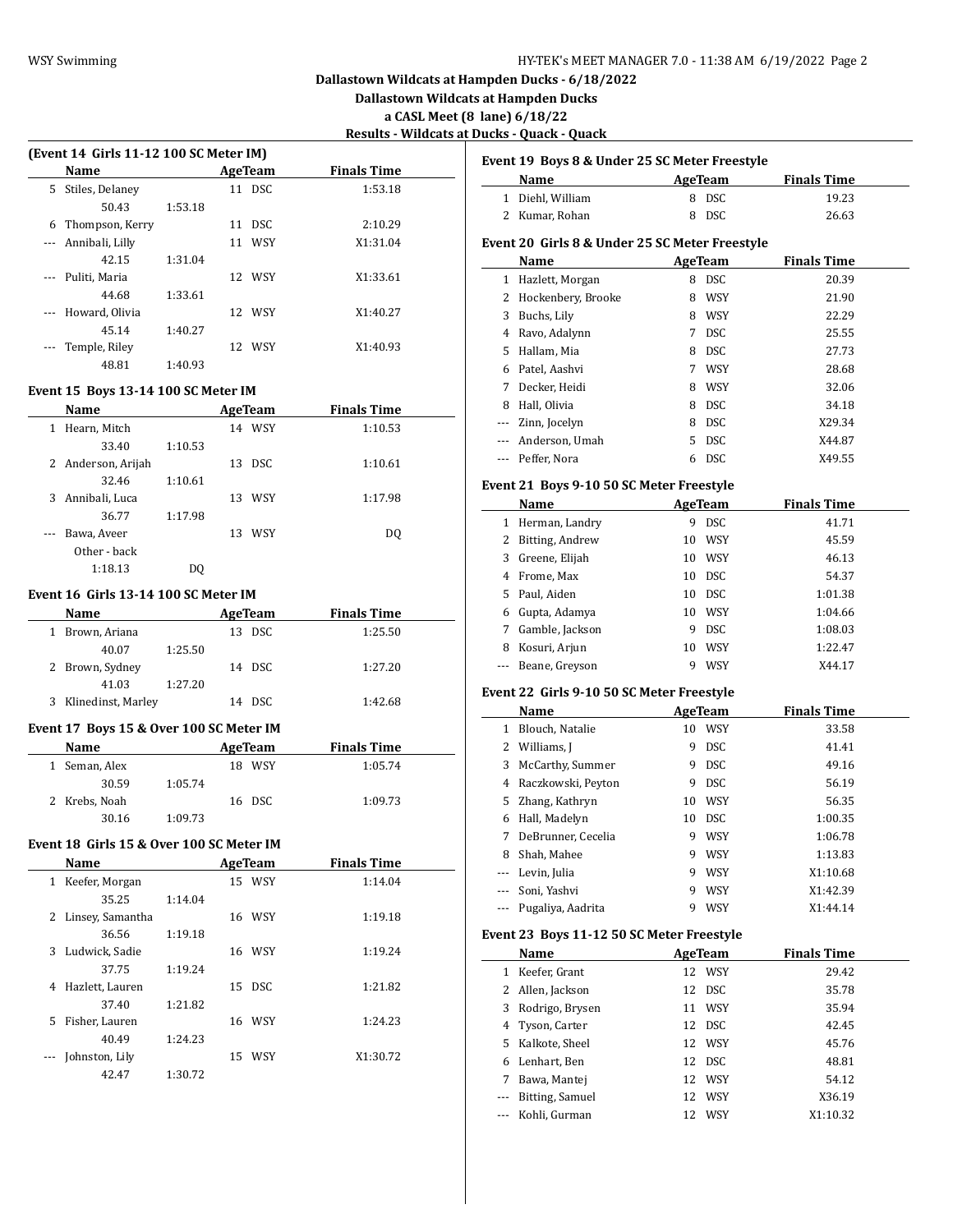**Dallastown Wildcats at Hampden Ducks**

**a CASL Meet (8 lane) 6/18/22**

**Results - Wildcats at Ducks - Quack - Quack**

|          |                                                |                                   |                                       | <b>Results - Wildcats at Duc</b> |    |
|----------|------------------------------------------------|-----------------------------------|---------------------------------------|----------------------------------|----|
|          | (Event 14 Girls 11-12 100 SC Meter IM)<br>Name |                                   | <b>AgeTeam</b>                        | <b>Finals Time</b>               | Ev |
|          | 5 Stiles, Delaney                              |                                   | 11 DSC                                | 1:53.18                          |    |
|          | 50.43                                          | 1:53.18                           |                                       |                                  |    |
|          | 6 Thompson, Kerry                              |                                   | 11 DSC                                | 2:10.29                          |    |
|          | --- Annibali, Lilly                            |                                   | 11 WSY                                | X1:31.04                         | Ev |
|          | 42.15                                          | 1:31.04                           |                                       |                                  |    |
|          | --- Puliti, Maria                              |                                   | 12 WSY                                | X1:33.61                         |    |
|          | 44.68                                          | 1:33.61                           |                                       |                                  |    |
| ---      | Howard, Olivia                                 |                                   | 12 WSY                                | X1:40.27                         |    |
|          | 45.14                                          | 1:40.27                           |                                       |                                  |    |
| $\cdots$ | Temple, Riley                                  |                                   | 12 WSY                                | X1:40.93                         |    |
|          | 48.81                                          | 1:40.93                           |                                       |                                  |    |
|          |                                                |                                   |                                       |                                  |    |
|          | Event 15 Boys 13-14 100 SC Meter IM            |                                   |                                       |                                  |    |
|          | Name                                           |                                   | <b>AgeTeam</b>                        | <b>Finals Time</b>               |    |
|          | 1 Hearn, Mitch                                 |                                   | 14 WSY                                | 1:10.53                          |    |
|          | 33.40                                          | 1:10.53                           |                                       |                                  |    |
|          | 2 Anderson, Arijah                             |                                   | 13 DSC                                | 1:10.61                          |    |
|          | 32.46                                          | 1:10.61                           |                                       |                                  | Ev |
|          | 3 Annibali, Luca                               |                                   | 13 WSY                                | 1:17.98                          |    |
|          | 36.77                                          | 1:17.98                           |                                       |                                  |    |
| ---      | Bawa, Aveer                                    |                                   | 13 WSY                                | DQ                               |    |
|          | Other - back                                   |                                   |                                       |                                  |    |
|          | 1:18.13                                        | DQ                                |                                       |                                  |    |
|          | Event 16 Girls 13-14 100 SC Meter IM           |                                   |                                       |                                  |    |
|          | Name                                           |                                   | <b>AgeTeam</b>                        | <b>Finals Time</b>               |    |
|          |                                                | the control of the control of the |                                       |                                  |    |
|          | 1 Brown, Ariana                                |                                   | 13 DSC                                | 1:25.50                          |    |
|          | 40.07                                          | 1:25.50                           |                                       |                                  |    |
|          | 2 Brown, Sydney                                |                                   | 14 DSC                                | 1:27.20                          |    |
|          |                                                |                                   |                                       |                                  |    |
|          | 41.03                                          | 1:27.20                           |                                       |                                  |    |
|          | 3 Klinedinst, Marley                           |                                   | 14 DSC                                | 1:42.68                          |    |
|          | Event 17 Boys 15 & Over 100 SC Meter IM        |                                   |                                       |                                  |    |
|          | Name                                           |                                   |                                       | <b>Finals Time</b>               |    |
|          |                                                |                                   | <b>Example 2018 AgeTeam</b><br>18 WSY |                                  | Ev |
|          | 1 Seman, Alex                                  |                                   |                                       | 1:05.74                          |    |
|          | 30.59                                          | 1:05.74                           |                                       |                                  |    |
|          | 2 Krebs, Noah                                  |                                   | 16 DSC                                | 1:09.73                          |    |
|          | 30.16                                          | 1:09.73                           |                                       |                                  |    |
|          | Event 18 Girls 15 & Over 100 SC Meter IM       |                                   |                                       |                                  |    |
|          | Name                                           |                                   | AgeTeam                               | <b>Finals Time</b>               |    |
|          | 1 Keefer, Morgan                               |                                   | 15 WSY                                | 1:14.04                          |    |
|          | 35.25                                          | 1:14.04                           |                                       |                                  |    |
|          | 2 Linsey, Samantha                             |                                   | 16 WSY                                | 1:19.18                          |    |
|          | 36.56                                          | 1:19.18                           |                                       |                                  |    |
| 3        | Ludwick, Sadie                                 |                                   | 16 WSY                                | 1:19.24                          |    |
|          | 37.75                                          | 1:19.24                           |                                       |                                  |    |
| 4        | Hazlett, Lauren                                |                                   | 15 DSC                                | 1:21.82                          |    |
|          | 37.40                                          | 1:21.82                           |                                       |                                  |    |
| 5        | Fisher, Lauren                                 |                                   | 16 WSY                                | 1:24.23                          |    |
|          | 40.49                                          | 1:24.23                           |                                       |                                  |    |
|          | Johnston, Lily                                 |                                   | 15 WSY                                | X1:30.72                         |    |
|          | 42.47                                          | 1:30.72                           |                                       |                                  | Ev |

|              | Event 19 Boys 8 & Under 25 SC Meter Freestyle           |    |                |                    |
|--------------|---------------------------------------------------------|----|----------------|--------------------|
|              | Name                                                    |    | <b>AgeTeam</b> | <b>Finals Time</b> |
|              | 1 Diehl, William                                        |    | 8 DSC          | 19.23              |
|              | 2 Kumar, Rohan                                          |    | 8 DSC          | 26.63              |
|              |                                                         |    |                |                    |
|              | Event 20  Girls 8 & Under 25 SC Meter Freestyle<br>Name |    | <b>AgeTeam</b> | <b>Finals Time</b> |
| $\mathbf{1}$ | Hazlett, Morgan                                         |    | 8 DSC          | 20.39              |
| 2            | Hockenbery, Brooke                                      |    | 8 WSY          | 21.90              |
| 3            |                                                         |    | 8 WSY          | 22.29              |
|              | Buchs, Lily                                             |    |                | 25.55              |
| 4<br>5       | Ravo, Adalynn                                           | 7  | DSC            |                    |
|              | Hallam, Mia                                             |    | 8 DSC          | 27.73              |
| 6            | Patel, Aashvi                                           |    | 7 WSY          | 28.68              |
| 7            | Decker, Heidi                                           |    | 8 WSY          | 32.06              |
|              | 8 Hall, Olivia                                          |    | 8 DSC          | 34.18              |
|              | --- Zinn, Jocelyn                                       |    | 8 DSC          | X29.34             |
| ---          | Anderson, Umah                                          |    | 5 DSC          | X44.87             |
| ---          | Peffer, Nora                                            |    | 6 DSC          | X49.55             |
|              | Event 21  Boys 9-10 50 SC Meter Freestyle               |    |                |                    |
|              | Name                                                    |    | AgeTeam        | <b>Finals Time</b> |
| $\mathbf{1}$ | Herman, Landry                                          | 9. | <b>DSC</b>     | 41.71              |
| 2            | Bitting, Andrew                                         |    | 10 WSY         | 45.59              |
| 3            | Greene, Elijah                                          |    | 10 WSY         | 46.13              |
| 4            | Frome, Max                                              |    | 10 DSC         | 54.37              |
| 5.           | Paul, Aiden                                             |    | 10 DSC         | 1:01.38            |
| 6            | Gupta, Adamya                                           |    | 10 WSY         | 1:04.66            |
| 7            | Gamble, Jackson                                         |    | 9 DSC          | 1:08.03            |
| 8            | Kosuri, Arjun                                           |    | 10 WSY         | 1:22.47            |
| ---          | Beane, Greyson                                          | 9  | WSY            | X44.17             |
|              | Event 22 Girls 9-10 50 SC Meter Freestyle               |    |                |                    |
|              | Name                                                    |    | <b>AgeTeam</b> | <b>Finals Time</b> |
|              | 1 Blouch, Natalie                                       |    | 10 WSY         | 33.58              |
| 2            | Williams, J                                             |    | 9 DSC          | 41.41              |
| 3            | McCarthy, Summer                                        |    | 9 DSC          | 49.16              |
| 4            | Raczkowski, Peyton                                      |    | 9 DSC          | 56.19              |
| 5            | Zhang, Kathryn                                          |    | 10 WSY         | 56.35              |
| 6            | Hall, Madelyn                                           | 10 | DSC            | 1:00.35            |
| 7            | DeBrunner, Cecelia                                      | 9  | WSY            | 1:06.78            |
| 8            | Shah, Mahee                                             | 9  | WSY            | 1:13.83            |
| ---          | Levin, Julia                                            | 9  | WSY            | X1:10.68           |
|              | Soni, Yashvi                                            | 9  | <b>WSY</b>     | X1:42.39           |
|              | Pugaliya, Aadrita                                       | 9  | WSY            | X1:44.14           |
|              |                                                         |    |                |                    |
|              | Event 23  Boys 11-12 50 SC Meter Freestyle              |    |                |                    |
|              | Name                                                    |    | <b>AgeTeam</b> | <b>Finals Time</b> |
| 1            | Keefer, Grant                                           |    | 12 WSY         | 29.42              |
| 2            | Allen, Jackson                                          | 12 | DSC            | 35.78              |
| 3            | Rodrigo, Brysen                                         | 11 | WSY            | 35.94              |
| 4            | Tyson, Carter                                           | 12 | DSC            | 42.45              |
| 5            | Kalkote, Sheel                                          | 12 | WSY            | 45.76              |
| 6            | Lenhart, Ben                                            | 12 | <b>DSC</b>     | 48.81              |
| 7            | Bawa, Mantej                                            | 12 | WSY            | 54.12              |
| ---          | Bitting, Samuel                                         | 12 | WSY            | X36.19             |
|              | Kohli, Gurman                                           | 12 | WSY            | X1:10.32           |
|              |                                                         |    |                |                    |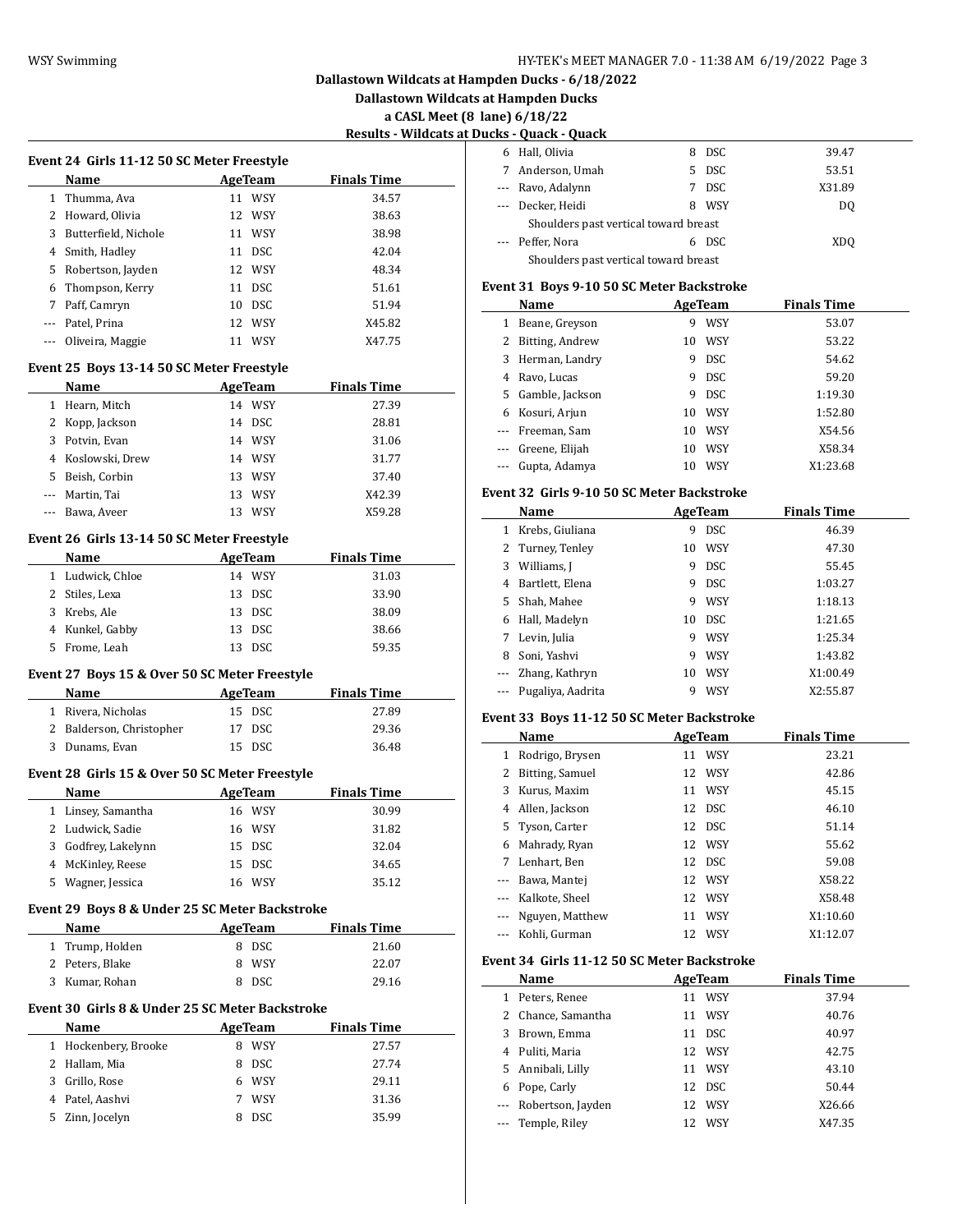**Dallastown Wildcats at Hampden Ducks**

**a CASL Meet (8 lane) 6/18/22**

# **Results - Wildcats at Ducks - Quack - Quack**

| Event 24 Girls 11-12 50 SC Meter Freestyle |                      |    |            |                    |
|--------------------------------------------|----------------------|----|------------|--------------------|
|                                            | Name                 |    | AgeTeam    | <b>Finals Time</b> |
| 1                                          | Thumma, Ava          | 11 | <b>WSY</b> | 34.57              |
| 2                                          | Howard, Olivia       |    | 12 WSY     | 38.63              |
| 3                                          | Butterfield, Nichole |    | 11 WSY     | 38.98              |
| 4                                          | Smith, Hadley        | 11 | DSC.       | 42.04              |
| 5                                          | Robertson, Jayden    |    | 12 WSY     | 48.34              |
| 6                                          | Thompson, Kerry      |    | 11 DSC     | 51.61              |
| 7                                          | Paff, Camryn         | 10 | DSC.       | 51.94              |
|                                            | Patel, Prina         |    | 12 WSY     | X45.82             |
|                                            | Oliveira, Maggie     |    | WSY        | X47.75             |
|                                            |                      |    |            |                    |

## **Event 25 Boys 13-14 50 SC Meter Freestyle**

|   | <b>Name</b>       |    | AgeTeam    | <b>Finals Time</b> |
|---|-------------------|----|------------|--------------------|
| 1 | Hearn, Mitch      |    | 14 WSY     | 27.39              |
|   | 2 Kopp, Jackson   |    | 14 DSC     | 28.81              |
|   | 3 Potvin, Evan    |    | 14 WSY     | 31.06              |
|   | 4 Koslowski, Drew |    | 14 WSY     | 31.77              |
|   | 5 Beish, Corbin   |    | 13 WSY     | 37.40              |
|   | --- Martin, Tai   | 13 | WSY        | X42.39             |
|   | Bawa, Aveer       |    | <b>WSY</b> | X59.28             |

## **Event 26 Girls 13-14 50 SC Meter Freestyle**

|    | <b>Name</b>      | AgeTeam |            | <b>Finals Time</b> |  |
|----|------------------|---------|------------|--------------------|--|
|    | 1 Ludwick, Chloe |         | 14 WSY     | 31.03              |  |
|    | 2 Stiles, Lexa   |         | 13 DSC     | 33.90              |  |
|    | 3 Krebs, Ale     |         | 13 DSC     | 38.09              |  |
|    | 4 Kunkel, Gabby  |         | 13 DSC     | 38.66              |  |
| 5. | Frome, Leah      |         | <b>DSC</b> | 59.35              |  |

#### **Event 27 Boys 15 & Over 50 SC Meter Freestyle**

| Name                     | AgeTeam | <b>Finals Time</b> |
|--------------------------|---------|--------------------|
| 1 Rivera, Nicholas       | 15 DSC  | 27.89              |
| 2 Balderson, Christopher | 17 DSC  | 29.36              |
| 3 Dunams, Evan           | 15 DSC  | 36.48              |

#### **Event 28 Girls 15 & Over 50 SC Meter Freestyle**

|  | <b>Name</b>         |  | AgeTeam | <b>Finals Time</b> |
|--|---------------------|--|---------|--------------------|
|  | 1 Linsey, Samantha  |  | 16 WSY  | 30.99              |
|  | 2 Ludwick, Sadie    |  | 16 WSY  | 31.82              |
|  | 3 Godfrey, Lakelynn |  | 15 DSC  | 32.04              |
|  | 4 McKinley, Reese   |  | 15 DSC  | 34.65              |
|  | 5 Wagner, Jessica   |  | 16 WSY  | 35.12              |

## **Event 29 Boys 8 & Under 25 SC Meter Backstroke**

| Name            | AgeTeam | <b>Finals Time</b> |  |
|-----------------|---------|--------------------|--|
| 1 Trump, Holden | 8 DSC   | 21.60              |  |
| 2 Peters, Blake | 8 WSY   | 22.07              |  |
| 3 Kumar, Rohan  | 8 DSC   | 29.16              |  |

## **Event 30 Girls 8 & Under 25 SC Meter Backstroke**

|    | <b>Name</b>          | AgeTeam   | <b>Finals Time</b> |
|----|----------------------|-----------|--------------------|
|    | 1 Hockenbery, Brooke | WSY       | 27.57              |
|    | 2 Hallam, Mia        | DSC.<br>8 | 27.74              |
| 3  | Grillo, Rose         | 6 WSY     | 29.11              |
|    | 4 Patel, Aashvi      | WSY       | 31.36              |
| 5. | Zinn, Jocelyn        | DSC.      | 35.99              |

|                                       | ins vualn vualn                       |    |            |                 |  |
|---------------------------------------|---------------------------------------|----|------------|-----------------|--|
| 6                                     | Hall, Olivia                          | 8  | DSC.       | 39.47           |  |
| 7                                     | Anderson, Umah                        | 5. | DSC.       | 53.51           |  |
|                                       | --- Ravo, Adalynn                     |    | <b>DSC</b> | X31.89          |  |
|                                       | --- Decker, Heidi                     | 8  | WSY        | DQ              |  |
| Shoulders past vertical toward breast |                                       |    |            |                 |  |
|                                       | --- Peffer, Nora                      | 6. | DSC.       | XD <sub>0</sub> |  |
|                                       | Shoulders past vertical toward breast |    |            |                 |  |

#### **Event 31 Boys 9-10 50 SC Meter Backstroke**

|                   | Name             |    | AgeTeam    | <b>Finals Time</b> |
|-------------------|------------------|----|------------|--------------------|
| 1                 | Beane, Greyson   | 9  | <b>WSY</b> | 53.07              |
| 2                 | Bitting, Andrew  | 10 | <b>WSY</b> | 53.22              |
|                   | 3 Herman, Landry | 9  | <b>DSC</b> | 54.62              |
| 4                 | Ravo, Lucas      | 9  | <b>DSC</b> | 59.20              |
| 5.                | Gamble, Jackson  | 9  | <b>DSC</b> | 1:19.30            |
| 6                 | Kosuri, Arjun    | 10 | <b>WSY</b> | 1:52.80            |
| $\cdots$          | Freeman, Sam     | 10 | <b>WSY</b> | X54.56             |
| $\qquad \qquad -$ | Greene, Elijah   | 10 | <b>WSY</b> | X58.34             |
|                   | Gupta, Adamya    | 10 | WSY        | X1:23.68           |

#### **Event 32 Girls 9-10 50 SC Meter Backstroke**

|          | Name              |    | AgeTeam    | <b>Finals Time</b> |
|----------|-------------------|----|------------|--------------------|
| 1        | Krebs, Giuliana   | 9  | <b>DSC</b> | 46.39              |
|          | 2 Turney, Tenley  | 10 | <b>WSY</b> | 47.30              |
| 3        | Williams, I       | 9  | <b>DSC</b> | 55.45              |
| 4        | Bartlett, Elena   | 9  | <b>DSC</b> | 1:03.27            |
| 5        | Shah, Mahee       | 9  | <b>WSY</b> | 1:18.13            |
| 6        | Hall, Madelyn     | 10 | <b>DSC</b> | 1:21.65            |
| 7        | Levin, Julia      | 9  | <b>WSY</b> | 1:25.34            |
| 8        | Soni, Yashvi      | 9  | <b>WSY</b> | 1:43.82            |
| $\cdots$ | Zhang, Kathryn    | 10 | <b>WSY</b> | X1:00.49           |
|          | Pugaliya, Aadrita | 9  | WSY        | X2:55.87           |

#### **Event 33 Boys 11-12 50 SC Meter Backstroke**

|                   | Name            |    | AgeTeam | <b>Finals Time</b> |
|-------------------|-----------------|----|---------|--------------------|
| $\mathbf{1}$      | Rodrigo, Brysen |    | 11 WSY  | 23.21              |
| 2                 | Bitting, Samuel |    | 12 WSY  | 42.86              |
| 3                 | Kurus, Maxim    |    | 11 WSY  | 45.15              |
| 4                 | Allen, Jackson  |    | 12 DSC  | 46.10              |
|                   | 5 Tyson, Carter |    | 12 DSC  | 51.14              |
| 6                 | Mahrady, Ryan   |    | 12 WSY  | 55.62              |
| 7                 | Lenhart, Ben    |    | 12 DSC  | 59.08              |
|                   | Bawa, Mantej    |    | 12 WSY  | X58.22             |
|                   | Kalkote, Sheel  |    | 12 WSY  | X58.48             |
| $\qquad \qquad -$ | Nguyen, Matthew | 11 | WSY     | X1:10.60           |
|                   | Kohli, Gurman   | 12 | WSY     | X1:12.07           |

#### **Event 34 Girls 11-12 50 SC Meter Backstroke**

 $\overline{\phantom{a}}$ 

|    | Name                  |    | AgeTeam    | <b>Finals Time</b> |  |
|----|-----------------------|----|------------|--------------------|--|
| 1  | Peters, Renee         | 11 | <b>WSY</b> | 37.94              |  |
|    | 2 Chance, Samantha    | 11 | <b>WSY</b> | 40.76              |  |
| 3  | Brown, Emma           | 11 | DSC.       | 40.97              |  |
| 4  | Puliti, Maria         |    | 12 WSY     | 42.75              |  |
| 5. | Annibali, Lilly       |    | 11 WSY     | 43.10              |  |
| 6  | Pope, Carly           |    | 12 DSC     | 50.44              |  |
|    | --- Robertson, Jayden | 12 | WSY        | X26.66             |  |
|    | --- Temple, Riley     |    | WSY        | X47.35             |  |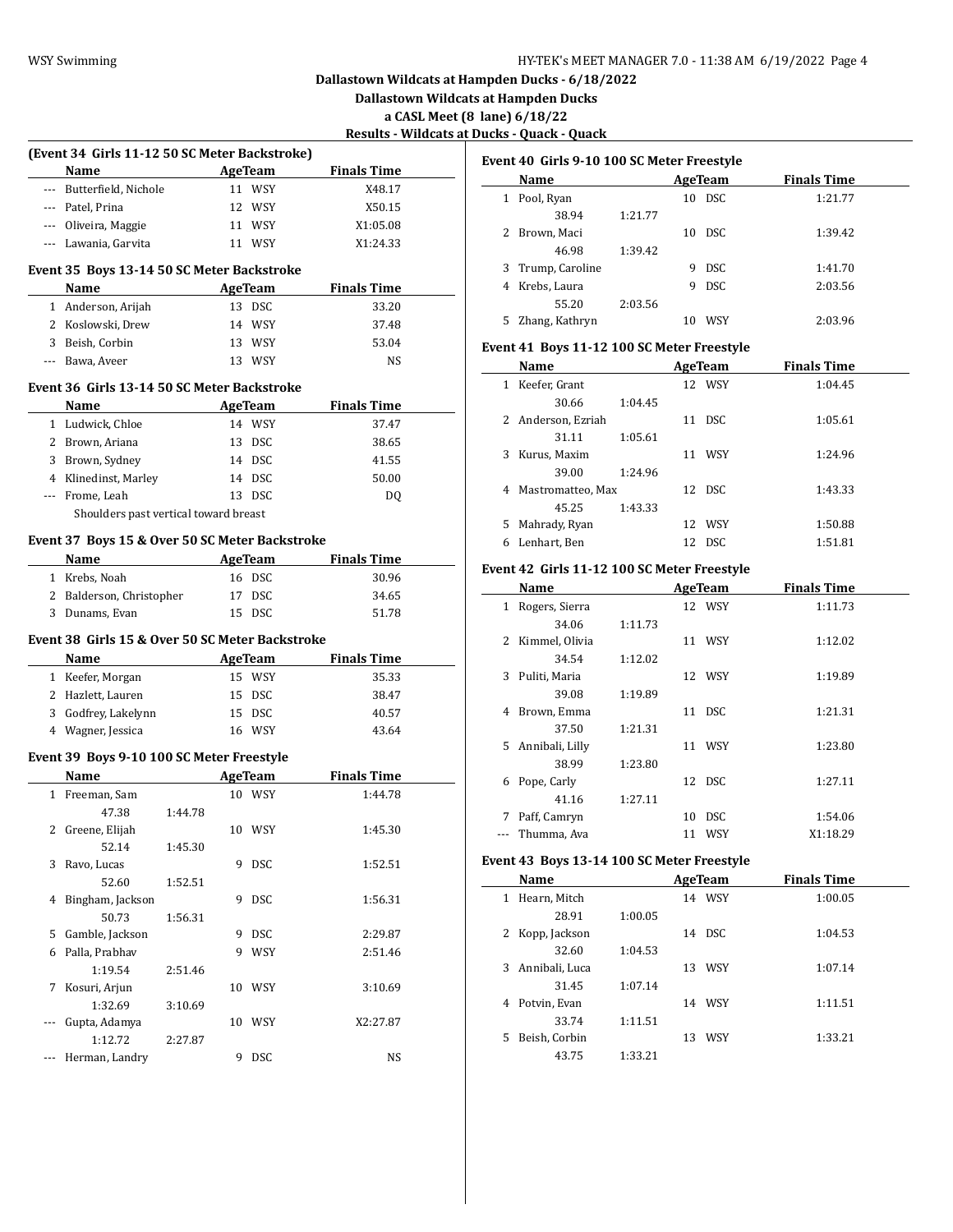**Dallastown Wildcats at Hampden Ducks**

**a CASL Meet (8 lane) 6/18/22**

**Results - Wildcats at Ducks - Quack - Quack**

|     | (Event 34 Girls 11-12 50 SC Meter Backstroke)     |         |   |                |                    |  |
|-----|---------------------------------------------------|---------|---|----------------|--------------------|--|
|     | Name                                              |         |   | <b>AgeTeam</b> | <b>Finals Time</b> |  |
|     | Butterfield, Nichole                              |         |   | 11 WSY         | X48.17             |  |
|     | --- Patel, Prina                                  |         |   | 12 WSY         | X50.15             |  |
|     | --- Oliveira, Maggie                              |         |   | 11 WSY         | X1:05.08           |  |
|     | --- Lawania, Garvita                              |         |   | 11 WSY         | X1:24.33           |  |
|     | Event 35 Boys 13-14 50 SC Meter Backstroke        |         |   |                |                    |  |
|     | Name                                              |         |   | <b>AgeTeam</b> | <b>Finals Time</b> |  |
|     | 1 Anderson, Arijah                                |         |   | 13 DSC         | 33.20              |  |
|     | 2 Koslowski, Drew                                 |         |   | 14 WSY         | 37.48              |  |
|     | 3 Beish, Corbin                                   |         |   | 13 WSY         | 53.04              |  |
|     | --- Bawa, Aveer                                   |         |   | 13 WSY         | NS                 |  |
|     | Event 36 Girls 13-14 50 SC Meter Backstroke       |         |   |                |                    |  |
|     |                                                   |         |   |                | <b>Finals Time</b> |  |
|     | Name                                              |         |   | <b>AgeTeam</b> |                    |  |
|     | 1 Ludwick, Chloe                                  |         |   | 14 WSY         | 37.47              |  |
|     | 2 Brown, Ariana                                   |         |   | 13 DSC         | 38.65              |  |
|     | 3 Brown, Sydney                                   |         |   | 14 DSC         | 41.55              |  |
|     | 4 Klinedinst, Marley                              |         |   | 14 DSC         | 50.00              |  |
|     | --- Frome, Leah                                   |         |   | 13 DSC         | DQ                 |  |
|     | Shoulders past vertical toward breast             |         |   |                |                    |  |
|     | Event 37 Boys 15 & Over 50 SC Meter Backstroke    |         |   |                |                    |  |
|     | Name                                              |         |   | <b>AgeTeam</b> | <b>Finals Time</b> |  |
|     | 1 Krebs, Noah                                     |         |   | 16 DSC         | 30.96              |  |
|     | 2 Balderson, Christopher                          |         |   | 17 DSC         | 34.65              |  |
|     | 3 Dunams, Evan                                    |         |   | 15 DSC         | 51.78              |  |
|     | Event 38 Girls 15 & Over 50 SC Meter Backstroke   |         |   |                |                    |  |
|     | Name                                              |         |   | <b>AgeTeam</b> | <b>Finals Time</b> |  |
|     | 1 Keefer, Morgan                                  |         |   | 15 WSY         | 35.33              |  |
|     | 2 Hazlett, Lauren                                 |         |   | 15 DSC         | 38.47              |  |
|     | 3 Godfrey, Lakelynn                               |         |   | 15 DSC         | 40.57              |  |
|     | 4 Wagner, Jessica                                 |         |   | 16 WSY         | 43.64              |  |
|     |                                                   |         |   |                |                    |  |
|     | Event 39 Boys 9-10 100 SC Meter Freestyle<br>Name |         |   | AgeTeam        | <b>Finals Time</b> |  |
|     |                                                   |         |   |                |                    |  |
|     | 1 Freeman, Sam                                    |         |   | 10 WSY         | 1:44.78            |  |
|     | 47.38                                             | 1:44.78 |   |                |                    |  |
|     | 2 Greene, Elijah                                  |         |   | 10 WSY         | 1:45.30            |  |
|     | 52.14                                             | 1:45.30 |   |                |                    |  |
| 3   | Ravo, Lucas                                       |         |   | 9 DSC          | 1:52.51            |  |
|     | 52.60                                             | 1:52.51 |   |                |                    |  |
| 4   | Bingham, Jackson                                  |         | 9 | DSC            | 1:56.31            |  |
|     | 50.73                                             | 1:56.31 |   |                |                    |  |
|     | 5 Gamble, Jackson                                 |         |   | 9 DSC          | 2:29.87            |  |
| 6   | Palla, Prabhav                                    |         | 9 | WSY            | 2:51.46            |  |
|     | 1:19.54                                           | 2:51.46 |   |                |                    |  |
| 7   | Kosuri, Arjun                                     |         |   | 10 WSY         | 3:10.69            |  |
|     | 1:32.69                                           | 3:10.69 |   |                |                    |  |
| --- | Gupta, Adamya                                     |         |   | 10 WSY         | X2:27.87           |  |
|     | 1:12.72                                           | 2:27.87 |   |                |                    |  |
|     | Herman, Landry                                    |         | 9 | DSC            | NS                 |  |

| Event 40 Girls 9-10 100 SC Meter Freestyle |                   |         |    |         |                    |  |  |
|--------------------------------------------|-------------------|---------|----|---------|--------------------|--|--|
|                                            | Name              |         |    | AgeTeam | <b>Finals Time</b> |  |  |
| $\mathbf{1}$                               | Pool, Ryan        |         | 10 | - DSC   | 1:21.77            |  |  |
|                                            | 38.94             | 1:21.77 |    |         |                    |  |  |
|                                            | Brown, Maci       |         | 10 | DSC.    | 1:39.42            |  |  |
|                                            | 46.98             | 1:39.42 |    |         |                    |  |  |
|                                            | 3 Trump, Caroline |         | 9  | DSC.    | 1:41.70            |  |  |
| 4                                          | Krebs, Laura      |         | 9  | DSC.    | 2:03.56            |  |  |
|                                            | 55.20             | 2:03.56 |    |         |                    |  |  |
| 5                                          | Zhang, Kathryn    |         | 10 | WSY     | 2:03.96            |  |  |

#### **Event 41 Boys 11-12 100 SC Meter Freestyle**

|    | Name               |         |    | AgeTeam    | <b>Finals Time</b> |
|----|--------------------|---------|----|------------|--------------------|
| 1  | Keefer, Grant      |         |    | 12 WSY     | 1:04.45            |
|    | 30.66              | 1:04.45 |    |            |                    |
|    | 2 Anderson, Ezriah |         | 11 | <b>DSC</b> | 1:05.61            |
|    | 31.11              | 1:05.61 |    |            |                    |
| 3  | Kurus, Maxim       |         | 11 | <b>WSY</b> | 1:24.96            |
|    | 39.00              | 1:24.96 |    |            |                    |
| 4  | Mastromatteo, Max  |         |    | 12 DSC     | 1:43.33            |
|    | 45.25              | 1:43.33 |    |            |                    |
| 5. | Mahrady, Ryan      |         | 12 | WSY        | 1:50.88            |
| 6  | Lenhart, Ben       |         | 12 | DSC        | 1:51.81            |

#### **Event 42 Girls 11-12 100 SC Meter Freestyle**

|    | Name            |         |    | <b>AgeTeam</b> | <b>Finals Time</b> |
|----|-----------------|---------|----|----------------|--------------------|
| 1  | Rogers, Sierra  |         |    | 12 WSY         | 1:11.73            |
|    | 34.06           | 1:11.73 |    |                |                    |
| 2  | Kimmel, Olivia  |         |    | 11 WSY         | 1:12.02            |
|    | 34.54           | 1:12.02 |    |                |                    |
| 3  | Puliti, Maria   |         |    | 12 WSY         | 1:19.89            |
|    | 39.08           | 1:19.89 |    |                |                    |
| 4  | Brown, Emma     |         |    | 11 DSC         | 1:21.31            |
|    | 37.50           | 1:21.31 |    |                |                    |
| 5. | Annibali, Lilly |         |    | 11 WSY         | 1:23.80            |
|    | 38.99           | 1:23.80 |    |                |                    |
| 6  | Pope, Carly     |         |    | 12 DSC         | 1:27.11            |
|    | 41.16           | 1:27.11 |    |                |                    |
| 7  | Paff, Camryn    |         | 10 | <b>DSC</b>     | 1:54.06            |
|    | Thumma, Ava     |         | 11 | WSY            | X1:18.29           |

#### **Event 43 Boys 13-14 100 SC Meter Freestyle**

|    | Name             |         |    | AgeTeam | <b>Finals Time</b> |
|----|------------------|---------|----|---------|--------------------|
| 1  | Hearn, Mitch     |         | 14 | WSY     | 1:00.05            |
|    | 28.91            | 1:00.05 |    |         |                    |
|    | 2 Kopp, Jackson  |         |    | 14 DSC  | 1:04.53            |
|    | 32.60            | 1:04.53 |    |         |                    |
|    | 3 Annibali, Luca |         | 13 | WSY     | 1:07.14            |
|    | 31.45            | 1:07.14 |    |         |                    |
| 4  | Potvin, Evan     |         | 14 | WSY     | 1:11.51            |
|    | 33.74            | 1:11.51 |    |         |                    |
| 5. | Beish, Corbin    |         | 13 | WSY     | 1:33.21            |
|    | 43.75            | 1:33.21 |    |         |                    |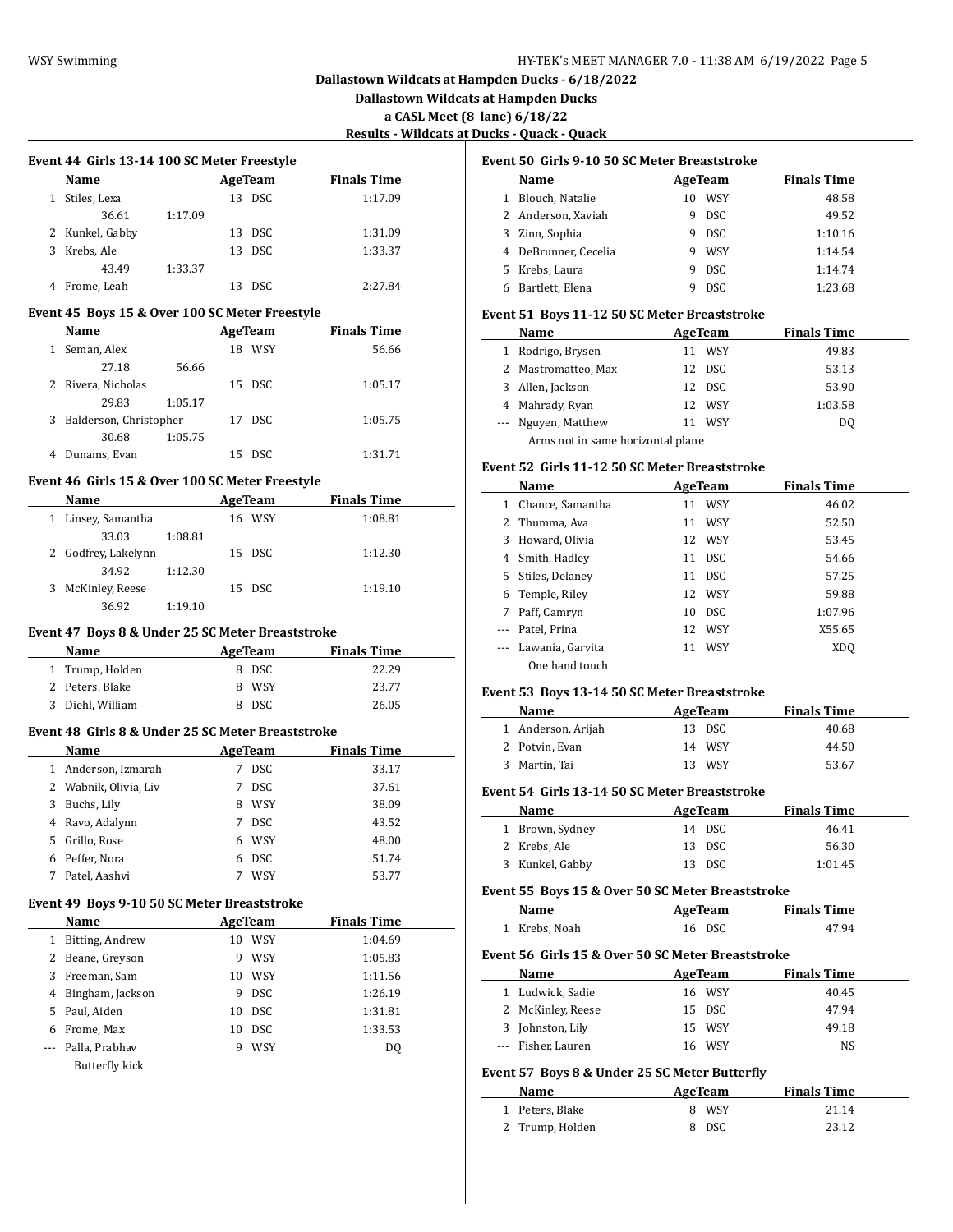**Dallastown Wildcats at Hampden Ducks**

**a CASL Meet (8 lane) 6/18/22**

**Results - Wildcats at Ducks - Quack - Quack**

L.

 $\overline{\phantom{a}}$ 

 $\overline{a}$ 

|   | Event 44 Girls 13-14 100 SC Meter Freestyle |         |    |            |                    |  |  |  |
|---|---------------------------------------------|---------|----|------------|--------------------|--|--|--|
|   | <b>Name</b>                                 |         |    | AgeTeam    | <b>Finals Time</b> |  |  |  |
|   | Stiles, Lexa                                |         | 13 | <b>DSC</b> | 1:17.09            |  |  |  |
|   | 36.61                                       | 1:17.09 |    |            |                    |  |  |  |
|   | 2 Kunkel, Gabby                             |         |    | 13 DSC     | 1:31.09            |  |  |  |
| 3 | Krebs. Ale                                  |         | 13 | DSC.       | 1:33.37            |  |  |  |
|   | 43.49                                       | 1:33.37 |    |            |                    |  |  |  |
|   | Frome, Leah                                 |         | 13 | DSC.       | 2:27.84            |  |  |  |

#### **Event 45 Boys 15 & Over 100 SC Meter Freestyle**

| Name                        | AgeTeam     | <b>Finals Time</b> |
|-----------------------------|-------------|--------------------|
| Seman, Alex                 | WSY<br>18   | 56.66              |
| 27.18<br>56.66              |             |                    |
| 2 Rivera, Nicholas          | 15 DSC      | 1:05.17            |
| 1:05.17<br>29.83            |             |                    |
| Balderson, Christopher<br>3 | 17 DSC      | 1:05.75            |
| 1:05.75<br>30.68            |             |                    |
| Dunams, Evan                | - DSC<br>15 | 1:31.71            |
|                             |             |                    |

#### **Event 46 Girls 15 & Over 100 SC Meter Freestyle**

|   | Name                |         | AgeTeam | <b>Finals Time</b> |  |
|---|---------------------|---------|---------|--------------------|--|
|   | Linsey, Samantha    |         | 16 WSY  | 1:08.81            |  |
|   | 33.03               | 1:08.81 |         |                    |  |
|   | 2 Godfrey, Lakelynn |         | 15 DSC  | 1:12.30            |  |
|   | 34.92               | 1:12.30 |         |                    |  |
| 3 | McKinley, Reese     |         | 15 DSC  | 1:19.10            |  |
|   | 36.92               | 1:19.10 |         |                    |  |

#### **Event 47 Boys 8 & Under 25 SC Meter Breaststroke**

| Name             | AgeTeam | <b>Finals Time</b> |
|------------------|---------|--------------------|
| 1 Trump, Holden  | 8 DSC   | 22.29              |
| 2 Peters, Blake  | 8 WSY   | 23.77              |
| 3 Diehl, William | 8 DSC   | 26.05              |

#### **Event 48 Girls 8 & Under 25 SC Meter Breaststroke**

|   | Name                |    | AgeTeam    | <b>Finals Time</b> |
|---|---------------------|----|------------|--------------------|
|   | Anderson, Izmarah   | 7  | <b>DSC</b> | 33.17              |
| 2 | Wabnik, Olivia, Liv | 7  | <b>DSC</b> | 37.61              |
| 3 | Buchs, Lily         | 8  | WSY        | 38.09              |
| 4 | Ravo, Adalynn       | 7  | <b>DSC</b> | 43.52              |
| 5 | Grillo, Rose        | 6. | WSY        | 48.00              |
| 6 | Peffer, Nora        | 6  | <b>DSC</b> | 51.74              |
|   | Patel, Aashvi       |    | WSY        | 53.77              |

#### **Event 49 Boys 9-10 50 SC Meter Breaststroke**

|    | Name             | AgeTeam |            | <b>Finals Time</b> |
|----|------------------|---------|------------|--------------------|
|    | Bitting, Andrew  | 10      | <b>WSY</b> | 1:04.69            |
|    | Beane, Greyson   | 9       | <b>WSY</b> | 1:05.83            |
| 3. | Freeman, Sam     | 10      | <b>WSY</b> | 1:11.56            |
| 4  | Bingham, Jackson | 9       | <b>DSC</b> | 1:26.19            |
| 5. | Paul, Aiden      | 10      | <b>DSC</b> | 1:31.81            |
| 6  | Frome, Max       | 10      | <b>DSC</b> | 1:33.53            |
|    | Palla, Prabhav   | 9       | <b>WSY</b> | DO.                |
|    | Butterfly kick   |         |            |                    |

#### **Event 50 Girls 9-10 50 SC Meter Breaststroke**

|   | Name               |    | AgeTeam    | <b>Finals Time</b> |
|---|--------------------|----|------------|--------------------|
|   | Blouch, Natalie    | 10 | WSY        | 48.58              |
|   | 2 Anderson, Xaviah | 9  | <b>DSC</b> | 49.52              |
| 3 | Zinn, Sophia       | 9  | <b>DSC</b> | 1:10.16            |
| 4 | DeBrunner, Cecelia | 9  | <b>WSY</b> | 1:14.54            |
|   | 5 Krebs, Laura     | 9  | <b>DSC</b> | 1:14.74            |
|   | Bartlett, Elena    |    | <b>DSC</b> | 1:23.68            |

#### **Event 51 Boys 11-12 50 SC Meter Breaststroke**

|   | Name                              | AgeTeam    | <b>Finals Time</b> |  |  |  |
|---|-----------------------------------|------------|--------------------|--|--|--|
|   | Rodrigo, Brysen                   | WSY        | 49.83              |  |  |  |
|   | 2 Mastromatteo, Max               | DSC.<br>12 | 53.13              |  |  |  |
| 3 | Allen, Jackson                    | 12 DSC     | 53.90              |  |  |  |
| 4 | Mahrady, Ryan                     | 12 WSY     | 1:03.58            |  |  |  |
|   | --- Nguyen, Matthew               | WSY        | DO                 |  |  |  |
|   | Arms not in same horizontal plane |            |                    |  |  |  |

#### **Event 52 Girls 11-12 50 SC Meter Breaststroke**

|   | Name              |    | AgeTeam    | <b>Finals Time</b> |  |
|---|-------------------|----|------------|--------------------|--|
| 1 | Chance, Samantha  | 11 | <b>WSY</b> | 46.02              |  |
|   | 2 Thumma, Ava     | 11 | <b>WSY</b> | 52.50              |  |
| 3 | Howard, Olivia    |    | 12 WSY     | 53.45              |  |
|   | 4 Smith, Hadley   | 11 | <b>DSC</b> | 54.66              |  |
|   | 5 Stiles, Delaney |    | 11 DSC     | 57.25              |  |
| 6 | Temple, Riley     |    | 12 WSY     | 59.88              |  |
| 7 | Paff, Camryn      |    | 10 DSC     | 1:07.96            |  |
|   | Patel, Prina      |    | 12 WSY     | X55.65             |  |
|   | Lawania, Garvita  | 11 | <b>WSY</b> | XD <sub>O</sub>    |  |
|   | One hand touch    |    |            |                    |  |

## **Event 53 Boys 13-14 50 SC Meter Breaststroke**

| Name               | AgeTeam | <b>Finals Time</b> |  |
|--------------------|---------|--------------------|--|
| 1 Anderson, Arijah | 13 DSC  | 40.68              |  |
| 2 Potvin, Evan     | 14 WSY  | 44.50              |  |
| 3 Martin, Tai      | 13 WSY  | 53.67              |  |

#### **Event 54 Girls 13-14 50 SC Meter Breaststroke**

| Name            | AgeTeam | <b>Finals Time</b> |
|-----------------|---------|--------------------|
| 1 Brown, Sydney | 14 DSC  | 46.41              |
| 2 Krebs, Ale    | 13 DSC  | 56.30              |
| 3 Kunkel, Gabby | 13 DSC  | 1:01.45            |

#### **Event 55 Boys 15 & Over 50 SC Meter Breaststroke**

| <b>Name</b>   | AgeTeam | <b>Finals Time</b> |  |
|---------------|---------|--------------------|--|
| 1 Krebs, Noah | 16 DSC  | 47.94              |  |

#### **Event 56 Girls 15 & Over 50 SC Meter Breaststroke**

| Name               | AgeTeam | <b>Finals Time</b> |
|--------------------|---------|--------------------|
| 1 Ludwick, Sadie   | 16 WSY  | 40.45              |
| 2 McKinley, Reese  | 15 DSC  | 47.94              |
| 3 Johnston, Lily   | 15 WSY  | 49.18              |
| --- Fisher, Lauren | 16 WSY  | NS                 |

#### **Event 57 Boys 8 & Under 25 SC Meter Butterfly**

| Name            | AgeTeam | <b>Finals Time</b> |  |
|-----------------|---------|--------------------|--|
| 1 Peters, Blake | 8 WSY   | 21.14              |  |
| 2 Trump, Holden | 8 DSC   | 23.12              |  |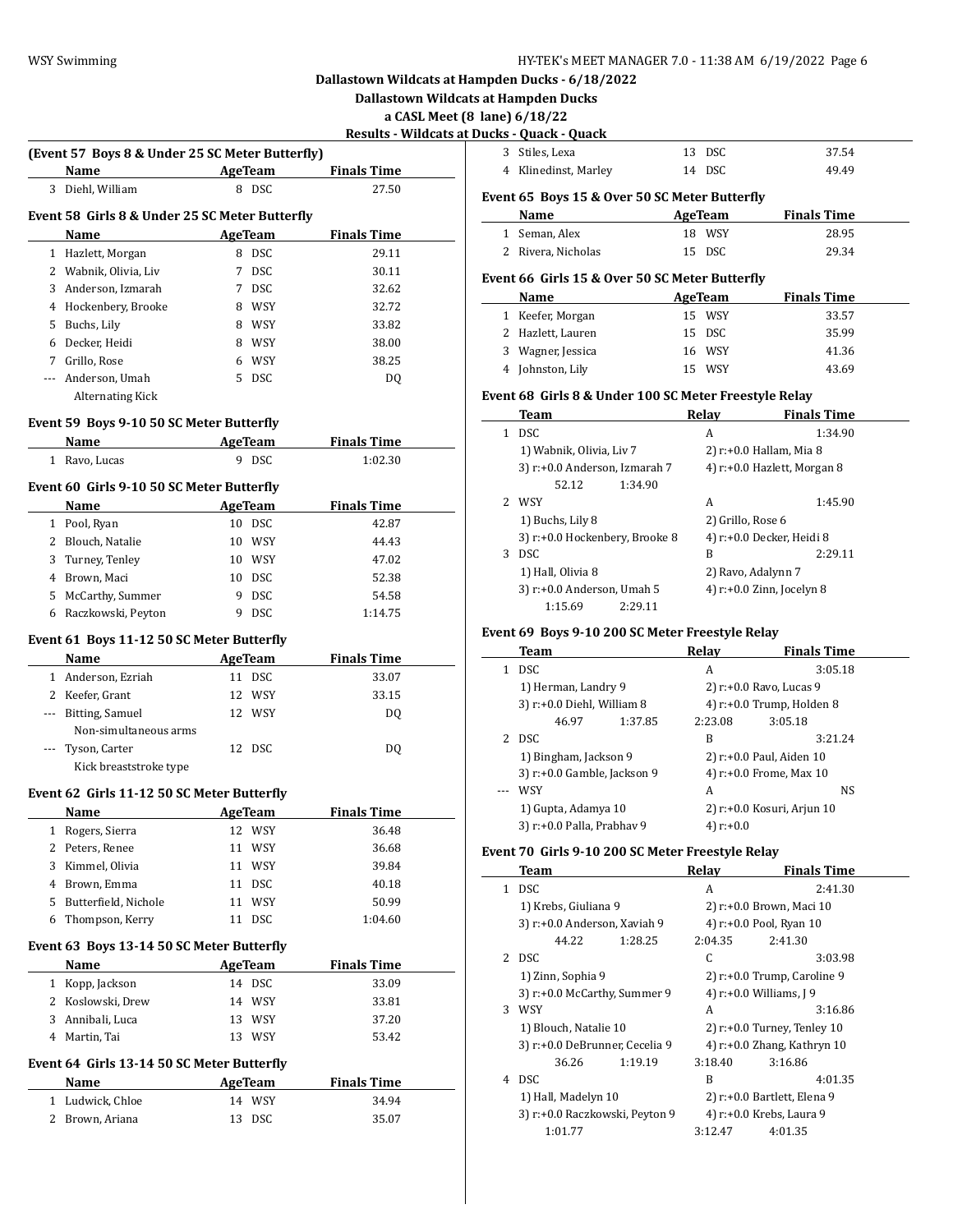**Dallastown Wildcats at Hampden Ducks**

**a CASL Meet (8 lane) 6/18/22**

| Results - Wildcats at Ducks - Quack - Quack |  |  |  |
|---------------------------------------------|--|--|--|
|                                             |  |  |  |

 $\overline{\phantom{a}}$ 

|     | (Event 57 Boys 8 & Under 25 SC Meter Butterfly) |         |                |                    |  |
|-----|-------------------------------------------------|---------|----------------|--------------------|--|
|     | Name                                            | AgeTeam |                | <b>Finals Time</b> |  |
| 3   | Diehl, William                                  |         | 8 DSC          | 27.50              |  |
|     | Event 58 Girls 8 & Under 25 SC Meter Butterfly  |         |                |                    |  |
|     | Name                                            |         | <b>AgeTeam</b> | <b>Finals Time</b> |  |
|     | 1 Hazlett, Morgan                               |         | 8 DSC          | 29.11              |  |
|     | 2 Wabnik, Olivia, Liv                           | 7       | <b>DSC</b>     | 30.11              |  |
|     | 3 Anderson, Izmarah                             |         | 7 DSC          | 32.62              |  |
|     | 4 Hockenbery, Brooke                            |         | 8 WSY          | 32.72              |  |
|     | 5 Buchs, Lily                                   |         | 8 WSY          | 33.82              |  |
|     | 6 Decker, Heidi                                 |         | 8 WSY          | 38.00              |  |
|     | 7 Grillo, Rose                                  |         | 6 WSY          | 38.25              |  |
|     | --- Anderson, Umah                              |         | 5 DSC          | DQ                 |  |
|     | Alternating Kick                                |         |                |                    |  |
|     | Event 59 Boys 9-10 50 SC Meter Butterfly        |         |                |                    |  |
|     | Name                                            |         | <b>AgeTeam</b> | <b>Finals Time</b> |  |
|     | 1 Ravo, Lucas                                   | 9       | DSC            | 1:02.30            |  |
|     |                                                 |         |                |                    |  |
|     | Event 60 Girls 9-10 50 SC Meter Butterfly       |         |                |                    |  |
|     | Name                                            |         | AgeTeam        | <b>Finals Time</b> |  |
|     | 1 Pool, Ryan                                    |         | 10 DSC         | 42.87              |  |
|     | 2 Blouch, Natalie                               |         | 10 WSY         | 44.43              |  |
|     | 3 Turney, Tenley                                |         | 10 WSY         | 47.02              |  |
|     | 4 Brown, Maci                                   |         | 10 DSC         | 52.38              |  |
|     | 5 McCarthy, Summer                              |         | 9 DSC          | 54.58              |  |
|     | 6 Raczkowski, Peyton                            |         | 9 DSC          | 1:14.75            |  |
|     | Event 61 Boys 11-12 50 SC Meter Butterfly       |         |                |                    |  |
|     | Name                                            |         | AgeTeam        | <b>Finals Time</b> |  |
|     | 1 Anderson, Ezriah                              |         | 11 DSC         | 33.07              |  |
|     | 2 Keefer, Grant                                 |         | 12 WSY         | 33.15              |  |
| --- | Bitting, Samuel                                 |         | 12 WSY         | DQ                 |  |
|     | Non-simultaneous arms                           |         |                |                    |  |
|     | Tyson, Carter                                   |         | 12 DSC         | DQ                 |  |
|     |                                                 |         |                |                    |  |
|     |                                                 |         |                |                    |  |
|     | Kick breaststroke type                          |         |                |                    |  |
|     | Event 62 Girls 11-12 50 SC Meter Butterfly      |         |                |                    |  |
|     | Name                                            |         | AgeTeam        | <b>Finals Time</b> |  |
| 1   | Rogers, Sierra                                  | 12      | WSY            | 36.48              |  |
| 2   | Peters, Renee                                   |         | 11 WSY         | 36.68              |  |
| 3   | Kimmel, Olivia                                  | 11      | WSY            | 39.84              |  |
|     | 4 Brown, Emma                                   | 11      | <b>DSC</b>     | 40.18              |  |
|     | 5 Butterfield, Nichole                          | 11      | WSY            | 50.99              |  |
|     | 6 Thompson, Kerry                               | 11      | <b>DSC</b>     | 1:04.60            |  |
|     | Event 63 Boys 13-14 50 SC Meter Butterfly       |         |                |                    |  |
|     | Name                                            |         | <b>AgeTeam</b> | <b>Finals Time</b> |  |
|     | 1 Kopp, Jackson                                 |         | 14 DSC         | 33.09              |  |
|     | 2 Koslowski, Drew                               |         | 14 WSY         | 33.81              |  |
|     | 3 Annibali, Luca                                |         | 13 WSY         | 37.20              |  |
|     | 4 Martin, Tai                                   |         | 13 WSY         | 53.42              |  |
|     | Event 64 Girls 13-14 50 SC Meter Butterfly      |         |                |                    |  |
|     | Name                                            |         | <b>AgeTeam</b> | <b>Finals Time</b> |  |
| 1   | Ludwick, Chloe                                  |         | 14 WSY         | 34.94              |  |
| 2   | Brown, Ariana                                   | 13      | DSC            | 35.07              |  |

|              | <b>Jucks - Quack - Quack</b>                          |    |              |                             |
|--------------|-------------------------------------------------------|----|--------------|-----------------------------|
| 3            | Stiles, Lexa                                          | 13 | <b>DSC</b>   | 37.54                       |
|              | 4 Klinedinst, Marley                                  |    | 14 DSC       | 49.49                       |
|              | Event 65 Boys 15 & Over 50 SC Meter Butterfly         |    |              |                             |
|              | Name                                                  |    | AgeTeam      | <b>Finals Time</b>          |
|              | 1 Seman, Alex                                         |    | 18 WSY       | 28.95                       |
|              | 2 Rivera, Nicholas                                    |    | 15 DSC       | 29.34                       |
|              | Event 66 Girls 15 & Over 50 SC Meter Butterfly        |    |              |                             |
|              | Name                                                  |    | AgeTeam      | <b>Finals Time</b>          |
|              | 1 Keefer, Morgan                                      |    | 15 WSY       | 33.57                       |
|              | 2 Hazlett, Lauren                                     |    | 15 DSC       | 35.99                       |
| 3            | Wagner, Jessica                                       |    | 16 WSY       | 41.36                       |
| 4            | Johnston, Lily                                        |    | 15 WSY       | 43.69                       |
|              | Event 68 Girls 8 & Under 100 SC Meter Freestyle Relay |    |              |                             |
|              | Team                                                  |    | Relay        | <b>Finals Time</b>          |
| $\mathbf{1}$ | DSC                                                   |    | A            | 1:34.90                     |
|              | 1) Wabnik, Olivia, Liv 7                              |    |              | 2) r:+0.0 Hallam, Mia 8     |
|              | 3) r:+0.0 Anderson, Izmarah 7                         |    |              | 4) r:+0.0 Hazlett, Morgan 8 |
|              | 52.12<br>1:34.90                                      |    |              |                             |
|              | 2 WSY                                                 |    | A            | 1:45.90                     |
|              | 1) Buchs, Lily 8                                      |    |              | 2) Grillo, Rose 6           |
|              | 3) r:+0.0 Hockenbery, Brooke 8                        |    |              | 4) r:+0.0 Decker, Heidi 8   |
| 3            | <b>DSC</b>                                            |    | B            | 2:29.11                     |
|              | 1) Hall, Olivia 8                                     |    |              | 2) Ravo, Adalynn 7          |
|              | 3) r:+0.0 Anderson, Umah 5                            |    |              | 4) r:+0.0 Zinn, Jocelyn 8   |
|              | 1:15.69<br>2:29.11                                    |    |              |                             |
|              | Event 69 Boys 9-10 200 SC Meter Freestyle Relay       |    |              |                             |
|              | Team                                                  |    | <b>Relay</b> | <b>Finals Time</b>          |

| Team                        |         | Relay        | <b>Finals Time</b>           |  |
|-----------------------------|---------|--------------|------------------------------|--|
| <b>DSC</b>                  |         | A            | 3:05.18                      |  |
| 1) Herman, Landry 9         |         |              | 2) r:+0.0 Ravo, Lucas 9      |  |
| 3) r:+0.0 Diehl, William 8  |         |              | 4) $r: +0.0$ Trump, Holden 8 |  |
| 46.97                       | 1:37.85 | 2:23.08      | 3:05.18                      |  |
| DSC.                        |         | В            | 3:21.24                      |  |
| 1) Bingham, Jackson 9       |         |              | 2) r:+0.0 Paul, Aiden 10     |  |
| 3) r:+0.0 Gamble, Jackson 9 |         |              | 4) r:+0.0 Frome, Max 10      |  |
| WSY                         |         | А            | NS                           |  |
| 1) Gupta, Adamya 10         |         |              | 2) r:+0.0 Kosuri, Arjun 10   |  |
| 3) r:+0.0 Palla, Prabhav 9  |         | 4) $r: +0.0$ |                              |  |

#### **Event 70 Girls 9-10 200 SC Meter Freestyle Relay**

|   | Team                           |         | Relay   | <b>Finals Time</b>             |
|---|--------------------------------|---------|---------|--------------------------------|
| 1 | <b>DSC</b>                     |         | A       | 2:41.30                        |
|   | 1) Krebs, Giuliana 9           |         |         | 2) r:+0.0 Brown, Maci 10       |
|   | 3) r:+0.0 Anderson, Xaviah 9   |         |         | 4) r:+0.0 Pool, Ryan 10        |
|   | 44.22                          | 1:28.25 | 2:04.35 | 2:41.30                        |
|   | 2 DSC                          |         | C       | 3:03.98                        |
|   | 1) Zinn, Sophia 9              |         |         | 2) r:+0.0 Trump, Caroline 9    |
|   | 3) r:+0.0 McCarthy, Summer 9   |         |         | 4) r:+0.0 Williams, J 9        |
| 3 | WSY                            |         | A       | 3:16.86                        |
|   | 1) Blouch, Natalie 10          |         |         | $2)$ r:+0.0 Turney, Tenley 10  |
|   | 3) r:+0.0 DeBrunner, Cecelia 9 |         |         | 4) $r: +0.0$ Zhang, Kathryn 10 |
|   | 36.26                          | 1:19.19 | 3:18.40 | 3:16.86                        |
| 4 | <b>DSC</b>                     |         | B       | 4:01.35                        |
|   | 1) Hall, Madelyn 10            |         |         | 2) r:+0.0 Bartlett, Elena 9    |
|   | 3) r:+0.0 Raczkowski, Peyton 9 |         |         | 4) r:+0.0 Krebs, Laura 9       |
|   | 1:01.77                        |         | 3:12.47 | 4:01.35                        |